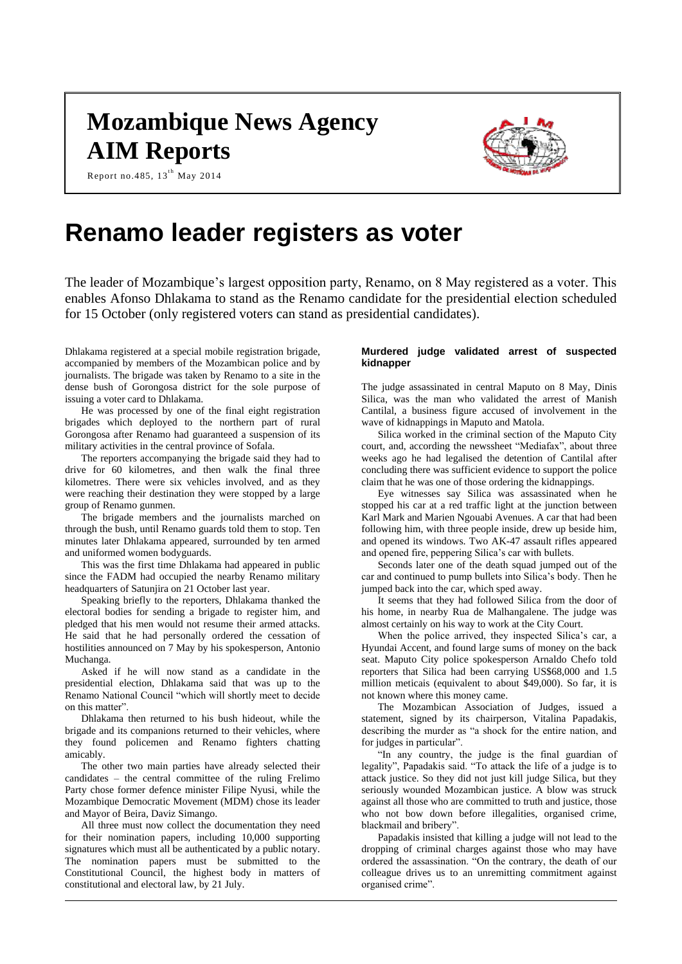# **Mozambique News Agency AIM Reports**





## **Renamo leader registers as voter**

The leader of Mozambique's largest opposition party, Renamo, on 8 May registered as a voter. This enables Afonso Dhlakama to stand as the Renamo candidate for the presidential election scheduled for 15 October (only registered voters can stand as presidential candidates).

Dhlakama registered at a special mobile registration brigade, accompanied by members of the Mozambican police and by journalists. The brigade was taken by Renamo to a site in the dense bush of Gorongosa district for the sole purpose of issuing a voter card to Dhlakama.

Report no.485,  $13^{th}$  May 2014

He was processed by one of the final eight registration brigades which deployed to the northern part of rural Gorongosa after Renamo had guaranteed a suspension of its military activities in the central province of Sofala.

The reporters accompanying the brigade said they had to drive for 60 kilometres, and then walk the final three kilometres. There were six vehicles involved, and as they were reaching their destination they were stopped by a large group of Renamo gunmen.

The brigade members and the journalists marched on through the bush, until Renamo guards told them to stop. Ten minutes later Dhlakama appeared, surrounded by ten armed and uniformed women bodyguards.

This was the first time Dhlakama had appeared in public since the FADM had occupied the nearby Renamo military headquarters of Satunjira on 21 October last year.

Speaking briefly to the reporters, Dhlakama thanked the electoral bodies for sending a brigade to register him, and pledged that his men would not resume their armed attacks. He said that he had personally ordered the cessation of hostilities announced on 7 May by his spokesperson, Antonio Muchanga.

Asked if he will now stand as a candidate in the presidential election, Dhlakama said that was up to the Renamo National Council "which will shortly meet to decide on this matter".

Dhlakama then returned to his bush hideout, while the brigade and its companions returned to their vehicles, where they found policemen and Renamo fighters chatting amicably.

The other two main parties have already selected their candidates – the central committee of the ruling Frelimo Party chose former defence minister Filipe Nyusi, while the Mozambique Democratic Movement (MDM) chose its leader and Mayor of Beira, Daviz Simango.

All three must now collect the documentation they need for their nomination papers, including 10,000 supporting signatures which must all be authenticated by a public notary. The nomination papers must be submitted to the Constitutional Council, the highest body in matters of constitutional and electoral law, by 21 July.

## **Murdered judge validated arrest of suspected kidnapper**

The judge assassinated in central Maputo on 8 May, Dinis Silica, was the man who validated the arrest of Manish Cantilal, a business figure accused of involvement in the wave of kidnappings in Maputo and Matola.

Silica worked in the criminal section of the Maputo City court, and, according the newssheet "Mediafax", about three weeks ago he had legalised the detention of Cantilal after concluding there was sufficient evidence to support the police claim that he was one of those ordering the kidnappings.

Eye witnesses say Silica was assassinated when he stopped his car at a red traffic light at the junction between Karl Mark and Marien Ngouabi Avenues. A car that had been following him, with three people inside, drew up beside him, and opened its windows. Two AK-47 assault rifles appeared and opened fire, peppering Silica's car with bullets.

Seconds later one of the death squad jumped out of the car and continued to pump bullets into Silica's body. Then he jumped back into the car, which sped away.

It seems that they had followed Silica from the door of his home, in nearby Rua de Malhangalene. The judge was almost certainly on his way to work at the City Court.

When the police arrived, they inspected Silica's car, a Hyundai Accent, and found large sums of money on the back seat. Maputo City police spokesperson Arnaldo Chefo told reporters that Silica had been carrying US\$68,000 and 1.5 million meticais (equivalent to about \$49,000). So far, it is not known where this money came.

The Mozambican Association of Judges, issued a statement, signed by its chairperson, Vitalina Papadakis, describing the murder as "a shock for the entire nation, and for judges in particular".

"In any country, the judge is the final guardian of legality", Papadakis said. "To attack the life of a judge is to attack justice. So they did not just kill judge Silica, but they seriously wounded Mozambican justice. A blow was struck against all those who are committed to truth and justice, those who not bow down before illegalities, organised crime, blackmail and bribery".

Papadakis insisted that killing a judge will not lead to the dropping of criminal charges against those who may have ordered the assassination. "On the contrary, the death of our colleague drives us to an unremitting commitment against organised crime".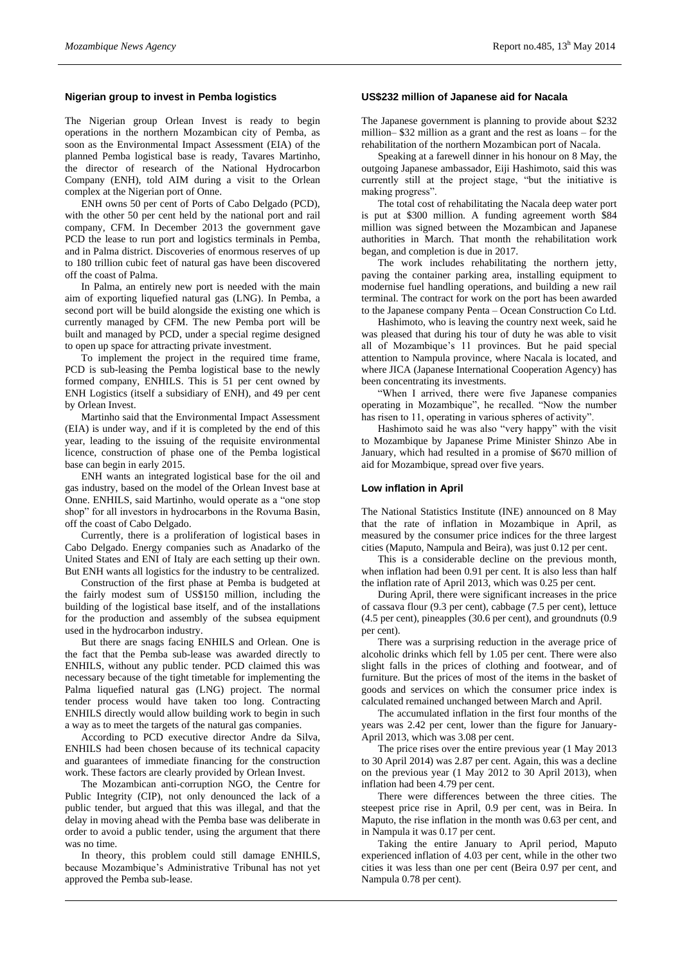#### **Nigerian group to invest in Pemba logistics**

The Nigerian group Orlean Invest is ready to begin operations in the northern Mozambican city of Pemba, as soon as the Environmental Impact Assessment (EIA) of the planned Pemba logistical base is ready, Tavares Martinho, the director of research of the National Hydrocarbon Company (ENH), told AIM during a visit to the Orlean complex at the Nigerian port of Onne.

ENH owns 50 per cent of Ports of Cabo Delgado (PCD), with the other 50 per cent held by the national port and rail company, CFM. In December 2013 the government gave PCD the lease to run port and logistics terminals in Pemba, and in Palma district. Discoveries of enormous reserves of up to 180 trillion cubic feet of natural gas have been discovered off the coast of Palma.

In Palma, an entirely new port is needed with the main aim of exporting liquefied natural gas (LNG). In Pemba, a second port will be build alongside the existing one which is currently managed by CFM. The new Pemba port will be built and managed by PCD, under a special regime designed to open up space for attracting private investment.

To implement the project in the required time frame, PCD is sub-leasing the Pemba logistical base to the newly formed company, ENHILS. This is 51 per cent owned by ENH Logistics (itself a subsidiary of ENH), and 49 per cent by Orlean Invest.

Martinho said that the Environmental Impact Assessment (EIA) is under way, and if it is completed by the end of this year, leading to the issuing of the requisite environmental licence, construction of phase one of the Pemba logistical base can begin in early 2015.

ENH wants an integrated logistical base for the oil and gas industry, based on the model of the Orlean Invest base at Onne. ENHILS, said Martinho, would operate as a "one stop shop" for all investors in hydrocarbons in the Rovuma Basin, off the coast of Cabo Delgado.

Currently, there is a proliferation of logistical bases in Cabo Delgado. Energy companies such as Anadarko of the United States and ENI of Italy are each setting up their own. But ENH wants all logistics for the industry to be centralized.

Construction of the first phase at Pemba is budgeted at the fairly modest sum of US\$150 million, including the building of the logistical base itself, and of the installations for the production and assembly of the subsea equipment used in the hydrocarbon industry.

But there are snags facing ENHILS and Orlean. One is the fact that the Pemba sub-lease was awarded directly to ENHILS, without any public tender. PCD claimed this was necessary because of the tight timetable for implementing the Palma liquefied natural gas (LNG) project. The normal tender process would have taken too long. Contracting ENHILS directly would allow building work to begin in such a way as to meet the targets of the natural gas companies.

According to PCD executive director Andre da Silva, ENHILS had been chosen because of its technical capacity and guarantees of immediate financing for the construction work. These factors are clearly provided by Orlean Invest.

The Mozambican anti-corruption NGO, the Centre for Public Integrity (CIP), not only denounced the lack of a public tender, but argued that this was illegal, and that the delay in moving ahead with the Pemba base was deliberate in order to avoid a public tender, using the argument that there was no time.

In theory, this problem could still damage ENHILS, because Mozambique's Administrative Tribunal has not yet approved the Pemba sub-lease.

#### **US\$232 million of Japanese aid for Nacala**

The Japanese government is planning to provide about \$232 million– \$32 million as a grant and the rest as loans – for the rehabilitation of the northern Mozambican port of Nacala.

Speaking at a farewell dinner in his honour on 8 May, the outgoing Japanese ambassador, Eiji Hashimoto, said this was currently still at the project stage, "but the initiative is making progress".

The total cost of rehabilitating the Nacala deep water port is put at \$300 million. A funding agreement worth \$84 million was signed between the Mozambican and Japanese authorities in March. That month the rehabilitation work began, and completion is due in 2017.

The work includes rehabilitating the northern jetty, paving the container parking area, installing equipment to modernise fuel handling operations, and building a new rail terminal. The contract for work on the port has been awarded to the Japanese company Penta – Ocean Construction Co Ltd.

Hashimoto, who is leaving the country next week, said he was pleased that during his tour of duty he was able to visit all of Mozambique's 11 provinces. But he paid special attention to Nampula province, where Nacala is located, and where JICA (Japanese International Cooperation Agency) has been concentrating its investments.

"When I arrived, there were five Japanese companies operating in Mozambique", he recalled. "Now the number has risen to 11, operating in various spheres of activity".

Hashimoto said he was also "very happy" with the visit to Mozambique by Japanese Prime Minister Shinzo Abe in January, which had resulted in a promise of \$670 million of aid for Mozambique, spread over five years.

#### **Low inflation in April**

The National Statistics Institute (INE) announced on 8 May that the rate of inflation in Mozambique in April, as measured by the consumer price indices for the three largest cities (Maputo, Nampula and Beira), was just 0.12 per cent.

This is a considerable decline on the previous month, when inflation had been 0.91 per cent. It is also less than half the inflation rate of April 2013, which was 0.25 per cent.

During April, there were significant increases in the price of cassava flour (9.3 per cent), cabbage (7.5 per cent), lettuce (4.5 per cent), pineapples (30.6 per cent), and groundnuts (0.9 per cent).

There was a surprising reduction in the average price of alcoholic drinks which fell by 1.05 per cent. There were also slight falls in the prices of clothing and footwear, and of furniture. But the prices of most of the items in the basket of goods and services on which the consumer price index is calculated remained unchanged between March and April.

The accumulated inflation in the first four months of the years was 2.42 per cent, lower than the figure for January-April 2013, which was 3.08 per cent.

The price rises over the entire previous year (1 May 2013 to 30 April 2014) was 2.87 per cent. Again, this was a decline on the previous year (1 May 2012 to 30 April 2013), when inflation had been 4.79 per cent.

There were differences between the three cities. The steepest price rise in April, 0.9 per cent, was in Beira. In Maputo, the rise inflation in the month was 0.63 per cent, and in Nampula it was 0.17 per cent.

Taking the entire January to April period, Maputo experienced inflation of 4.03 per cent, while in the other two cities it was less than one per cent (Beira 0.97 per cent, and Nampula 0.78 per cent).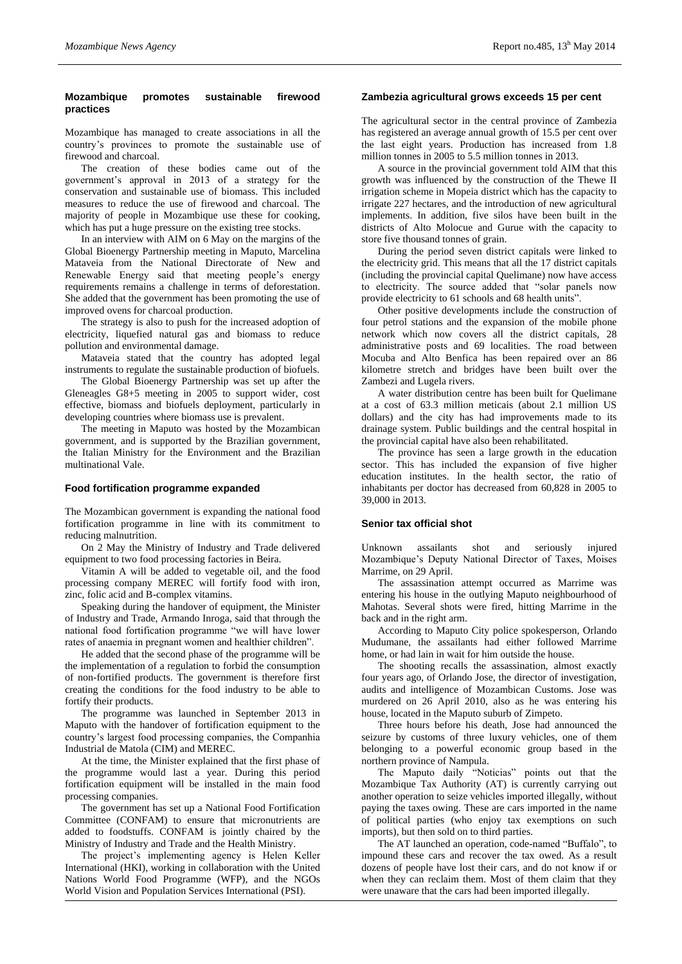## **Mozambique promotes sustainable firewood practices**

Mozambique has managed to create associations in all the country's provinces to promote the sustainable use of firewood and charcoal.

The creation of these bodies came out of the government's approval in 2013 of a strategy for the conservation and sustainable use of biomass. This included measures to reduce the use of firewood and charcoal. The majority of people in Mozambique use these for cooking, which has put a huge pressure on the existing tree stocks.

In an interview with AIM on 6 May on the margins of the Global Bioenergy Partnership meeting in Maputo, Marcelina Mataveia from the National Directorate of New and Renewable Energy said that meeting people's energy requirements remains a challenge in terms of deforestation. She added that the government has been promoting the use of improved ovens for charcoal production.

The strategy is also to push for the increased adoption of electricity, liquefied natural gas and biomass to reduce pollution and environmental damage.

Mataveia stated that the country has adopted legal instruments to regulate the sustainable production of biofuels.

The Global Bioenergy Partnership was set up after the Gleneagles G8+5 meeting in 2005 to support wider, cost effective, biomass and biofuels deployment, particularly in developing countries where biomass use is prevalent.

The meeting in Maputo was hosted by the Mozambican government, and is supported by the Brazilian government, the Italian Ministry for the Environment and the Brazilian multinational Vale.

## **Food fortification programme expanded**

The Mozambican government is expanding the national food fortification programme in line with its commitment to reducing malnutrition.

On 2 May the Ministry of Industry and Trade delivered equipment to two food processing factories in Beira.

Vitamin A will be added to vegetable oil, and the food processing company MEREC will fortify food with iron, zinc, folic acid and B-complex vitamins.

Speaking during the handover of equipment, the Minister of Industry and Trade, Armando Inroga, said that through the national food fortification programme "we will have lower rates of anaemia in pregnant women and healthier children".

He added that the second phase of the programme will be the implementation of a regulation to forbid the consumption of non-fortified products. The government is therefore first creating the conditions for the food industry to be able to fortify their products.

The programme was launched in September 2013 in Maputo with the handover of fortification equipment to the country's largest food processing companies, the Companhia Industrial de Matola (CIM) and MEREC.

At the time, the Minister explained that the first phase of the programme would last a year. During this period fortification equipment will be installed in the main food processing companies.

The government has set up a National Food Fortification Committee (CONFAM) to ensure that micronutrients are added to foodstuffs. CONFAM is jointly chaired by the Ministry of Industry and Trade and the Health Ministry.

The project's implementing agency is Helen Keller International (HKI), working in collaboration with the United Nations World Food Programme (WFP), and the NGOs World Vision and Population Services International (PSI).

## **Zambezia agricultural grows exceeds 15 per cent**

The agricultural sector in the central province of Zambezia has registered an average annual growth of 15.5 per cent over the last eight years. Production has increased from 1.8 million tonnes in 2005 to 5.5 million tonnes in 2013.

A source in the provincial government told AIM that this growth was influenced by the construction of the Thewe II irrigation scheme in Mopeia district which has the capacity to irrigate 227 hectares, and the introduction of new agricultural implements. In addition, five silos have been built in the districts of Alto Molocue and Gurue with the capacity to store five thousand tonnes of grain.

During the period seven district capitals were linked to the electricity grid. This means that all the 17 district capitals (including the provincial capital Quelimane) now have access to electricity. The source added that "solar panels now provide electricity to 61 schools and 68 health units".

Other positive developments include the construction of four petrol stations and the expansion of the mobile phone network which now covers all the district capitals, 28 administrative posts and 69 localities. The road between Mocuba and Alto Benfica has been repaired over an 86 kilometre stretch and bridges have been built over the Zambezi and Lugela rivers.

A water distribution centre has been built for Quelimane at a cost of 63.3 million meticais (about 2.1 million US dollars) and the city has had improvements made to its drainage system. Public buildings and the central hospital in the provincial capital have also been rehabilitated.

The province has seen a large growth in the education sector. This has included the expansion of five higher education institutes. In the health sector, the ratio of inhabitants per doctor has decreased from 60,828 in 2005 to 39,000 in 2013.

## **Senior tax official shot**

Unknown assailants shot and seriously injured Mozambique's Deputy National Director of Taxes, Moises Marrime, on 29 April.

The assassination attempt occurred as Marrime was entering his house in the outlying Maputo neighbourhood of Mahotas. Several shots were fired, hitting Marrime in the back and in the right arm.

According to Maputo City police spokesperson, Orlando Mudumane, the assailants had either followed Marrime home, or had lain in wait for him outside the house.

The shooting recalls the assassination, almost exactly four years ago, of Orlando Jose, the director of investigation, audits and intelligence of Mozambican Customs. Jose was murdered on 26 April 2010, also as he was entering his house, located in the Maputo suburb of Zimpeto.

Three hours before his death, Jose had announced the seizure by customs of three luxury vehicles, one of them belonging to a powerful economic group based in the northern province of Nampula.

The Maputo daily "Noticias" points out that the Mozambique Tax Authority (AT) is currently carrying out another operation to seize vehicles imported illegally, without paying the taxes owing. These are cars imported in the name of political parties (who enjoy tax exemptions on such imports), but then sold on to third parties.

The AT launched an operation, code-named "Buffalo", to impound these cars and recover the tax owed. As a result dozens of people have lost their cars, and do not know if or when they can reclaim them. Most of them claim that they were unaware that the cars had been imported illegally.